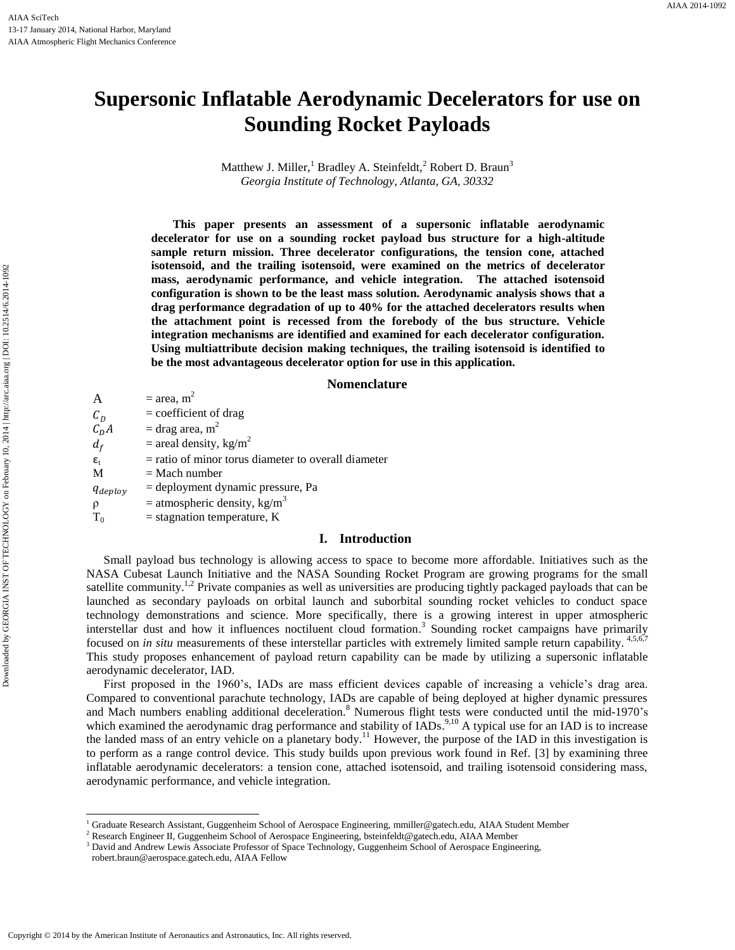# **Supersonic Inflatable Aerodynamic Decelerators for use on Sounding Rocket Payloads**

Matthew J. Miller,<sup>1</sup> Bradley A. Steinfeldt,<sup>2</sup> Robert D. Braun<sup>3</sup> *Georgia Institute of Technology, Atlanta, GA, 30332*

**This paper presents an assessment of a supersonic inflatable aerodynamic decelerator for use on a sounding rocket payload bus structure for a high-altitude sample return mission. Three decelerator configurations, the tension cone, attached isotensoid, and the trailing isotensoid, were examined on the metrics of decelerator mass, aerodynamic performance, and vehicle integration. The attached isotensoid configuration is shown to be the least mass solution. Aerodynamic analysis shows that a drag performance degradation of up to 40% for the attached decelerators results when the attachment point is recessed from the forebody of the bus structure. Vehicle integration mechanisms are identified and examined for each decelerator configuration. Using multiattribute decision making techniques, the trailing isotensoid is identified to be the most advantageous decelerator option for use in this application.**

## **Nomenclature**

A =  $area, m^2$  $C_D$ = coefficient of drag  $C_D A$  = drag area, m<sup>2</sup>  $d_f$  = areal density, kg/m<sup>2</sup>  $\varepsilon_t$  = ratio of minor torus diameter to overall diameter  $M = Mach number$  $q_{deplay}$  = deployment dynamic pressure, Pa  $\rho$  = atmospheric density, kg/m<sup>3</sup>  $T_0$  = stagnation temperature, K

# **I. Introduction**

Small payload bus technology is allowing access to space to become more affordable. Initiatives such as the NASA Cubesat Launch Initiative and the NASA Sounding Rocket Program are growing programs for the small satellite community.<sup>1,2</sup> Private companies as well as universities are producing tightly packaged payloads that can be launched as secondary payloads on orbital launch and suborbital sounding rocket vehicles to conduct space technology demonstrations and science. More specifically, there is a growing interest in upper atmospheric interstellar dust and how it influences noctiluent cloud formation.<sup>3</sup> Sounding rocket campaigns have primarily focused on *in situ* measurements of these interstellar particles with extremely limited sample return capability.<sup>4,5,6,7</sup> This study proposes enhancement of payload return capability can be made by utilizing a supersonic inflatable aerodynamic decelerator, IAD.

First proposed in the 1960's, IADs are mass efficient devices capable of increasing a vehicle's drag area. Compared to conventional parachute technology, IADs are capable of being deployed at higher dynamic pressures and Mach numbers enabling additional deceleration. <sup>8</sup> Numerous flight tests were conducted until the mid-1970's which examined the aerodynamic drag performance and stability of IADs.<sup>9,10</sup> A typical use for an IAD is to increase the landed mass of an entry vehicle on a planetary body.<sup>11</sup> However, the purpose of the IAD in this investigation is to perform as a range control device. This study builds upon previous work found in Ref. [3] by examining three inflatable aerodynamic decelerators: a tension cone, attached isotensoid, and trailing isotensoid considering mass, aerodynamic performance, and vehicle integration.

l

<sup>1</sup> Graduate Research Assistant, Guggenheim School of Aerospace Engineering, mmiller@gatech.edu, AIAA Student Member

<sup>&</sup>lt;sup>2</sup> Research Engineer II, Guggenheim School of Aerospace Engineering[, bsteinfeldt@gatech.edu,](mailto:bsteinfeldt@gatech.edu) AIAA Member

<sup>&</sup>lt;sup>3</sup> David and Andrew Lewis Associate Professor of Space Technology, Guggenheim School of Aerospace Engineering, robert.braun@aerospace.gatech.edu, AIAA Fellow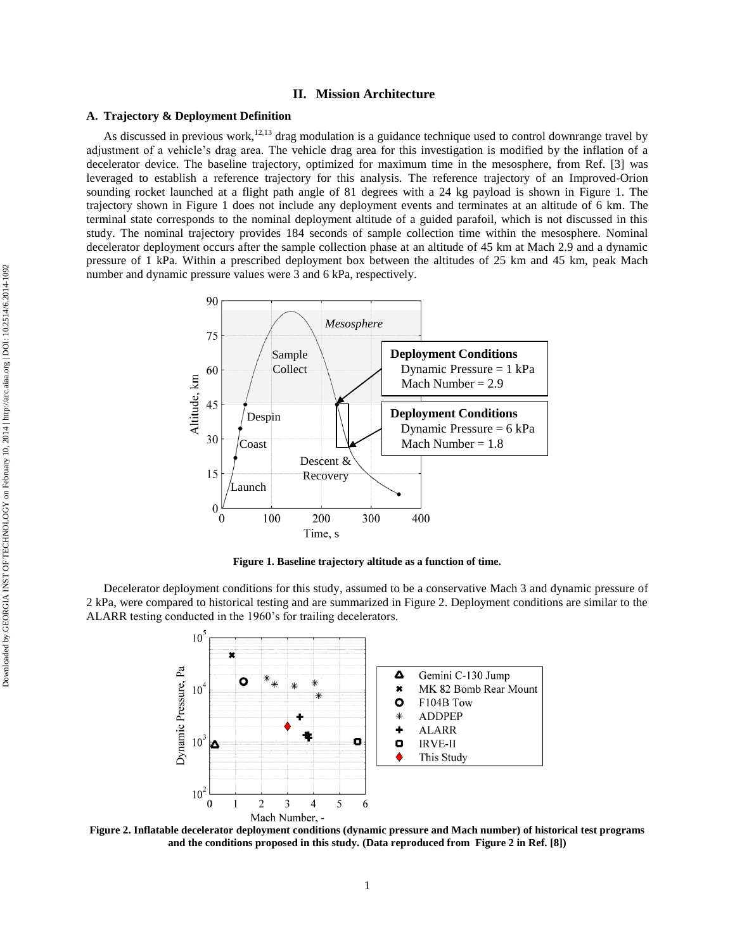# **II. Mission Architecture**

# **A. Trajectory & Deployment Definition**

As discussed in previous work,  $12,13$  drag modulation is a guidance technique used to control downrange travel by adjustment of a vehicle's drag area. The vehicle drag area for this investigation is modified by the inflation of a decelerator device. The baseline trajectory, optimized for maximum time in the mesosphere, from Ref. [3] was leveraged to establish a reference trajectory for this analysis. The reference trajectory of an Improved-Orion sounding rocket launched at a flight path angle of 81 degrees with a 24 kg payload is shown in [Figure 1.](#page-1-0) The trajectory shown in [Figure 1](#page-1-0) does not include any deployment events and terminates at an altitude of 6 km. The terminal state corresponds to the nominal deployment altitude of a guided parafoil, which is not discussed in this study. The nominal trajectory provides 184 seconds of sample collection time within the mesosphere. Nominal decelerator deployment occurs after the sample collection phase at an altitude of 45 km at Mach 2.9 and a dynamic pressure of 1 kPa. Within a prescribed deployment box between the altitudes of 25 km and 45 km, peak Mach number and dynamic pressure values were 3 and 6 kPa, respectively.



**Figure 1. Baseline trajectory altitude as a function of time.**

<span id="page-1-0"></span>Decelerator deployment conditions for this study, assumed to be a conservative Mach 3 and dynamic pressure of 2 kPa, were compared to historical testing and are summarized in Figure 2. Deployment conditions are similar to the ALARR testing conducted in the 1960's for trailing decelerators.



**Figure 2. Inflatable decelerator deployment conditions (dynamic pressure and Mach number) of historical test programs and the conditions proposed in this study. (Data reproduced from Figure 2 in Ref. [8])**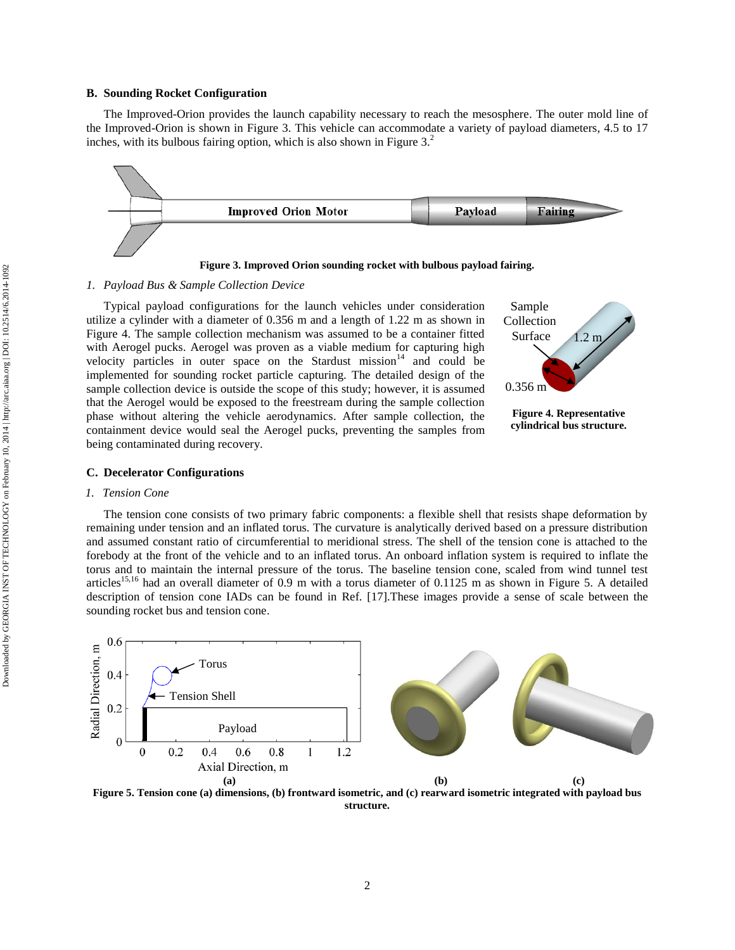## **B. Sounding Rocket Configuration**

The Improved-Orion provides the launch capability necessary to reach the mesosphere. The outer mold line of the Improved-Orion is shown in [Figure 3.](#page-2-0) This vehicle can accommodate a variety of payload diameters, 4.5 to 17 inches, with its bulbous fairing option, which is also shown in Figure  $3<sup>2</sup>$ 



**Figure 3. Improved Orion sounding rocket with bulbous payload fairing.**

# <span id="page-2-0"></span>*1. Payload Bus & Sample Collection Device*

Typical payload configurations for the launch vehicles under consideration utilize a cylinder with a diameter of 0.356 m and a length of 1.22 m as shown in [Figure 4.](#page-2-1) The sample collection mechanism was assumed to be a container fitted with Aerogel pucks. Aerogel was proven as a viable medium for capturing high velocity particles in outer space on the Stardust mission<sup>14</sup> and could be implemented for sounding rocket particle capturing. The detailed design of the sample collection device is outside the scope of this study; however, it is assumed that the Aerogel would be exposed to the freestream during the sample collection phase without altering the vehicle aerodynamics. After sample collection, the containment device would seal the Aerogel pucks, preventing the samples from being contaminated during recovery.



<span id="page-2-1"></span>**cylindrical bus structure.**

## **C. Decelerator Configurations**

# *1. Tension Cone*

The tension cone consists of two primary fabric components: a flexible shell that resists shape deformation by remaining under tension and an inflated torus. The curvature is analytically derived based on a pressure distribution and assumed constant ratio of circumferential to meridional stress. The shell of the tension cone is attached to the forebody at the front of the vehicle and to an inflated torus. An onboard inflation system is required to inflate the torus and to maintain the internal pressure of the torus. The baseline tension cone, scaled from wind tunnel test articles<sup>15,16</sup> had an overall diameter of 0.9 m with a torus diameter of 0.1125 m as shown in [Figure 5.](#page-2-2) A detailed description of tension cone IADs can be found in Ref. [17].These images provide a sense of scale between the sounding rocket bus and tension cone.



<span id="page-2-2"></span>**Figure 5. Tension cone (a) dimensions, (b) frontward isometric, and (c) rearward isometric integrated with payload bus structure.**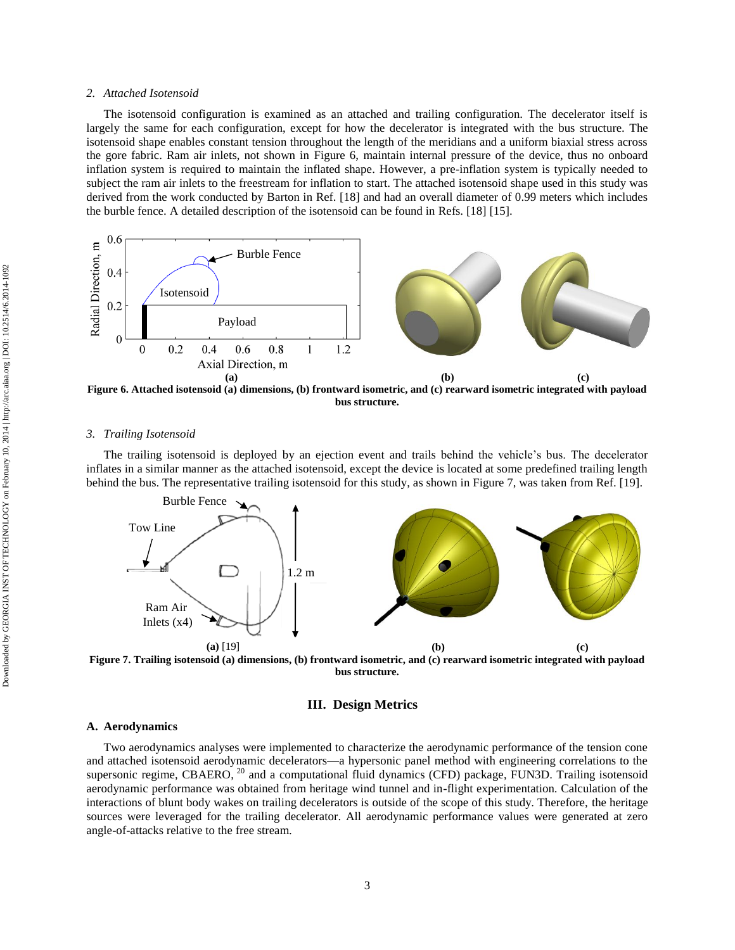#### *2. Attached Isotensoid*

The isotensoid configuration is examined as an attached and trailing configuration. The decelerator itself is largely the same for each configuration, except for how the decelerator is integrated with the bus structure. The isotensoid shape enables constant tension throughout the length of the meridians and a uniform biaxial stress across the gore fabric. Ram air inlets, not shown in [Figure 6,](#page-3-0) maintain internal pressure of the device, thus no onboard inflation system is required to maintain the inflated shape. However, a pre-inflation system is typically needed to subject the ram air inlets to the freestream for inflation to start. The attached isotensoid shape used in this study was derived from the work conducted by Barton in Ref. [18] and had an overall diameter of 0.99 meters which includes the burble fence. A detailed description of the isotensoid can be found in Refs. [18] [15].



<span id="page-3-0"></span>**Figure 6. Attached isotensoid (a) dimensions, (b) frontward isometric, and (c) rearward isometric integrated with payload bus structure.**

## *3. Trailing Isotensoid*

The trailing isotensoid is deployed by an ejection event and trails behind the vehicle's bus. The decelerator inflates in a similar manner as the attached isotensoid, except the device is located at some predefined trailing length behind the bus. The representative trailing isotensoid for this study, as shown in [Figure 7,](#page-3-1) was taken from Ref. [19].



<span id="page-3-1"></span>**Figure 7. Trailing isotensoid (a) dimensions, (b) frontward isometric, and (c) rearward isometric integrated with payload bus structure.**

# **III. Design Metrics**

#### **A. Aerodynamics**

Two aerodynamics analyses were implemented to characterize the aerodynamic performance of the tension cone and attached isotensoid aerodynamic decelerators—a hypersonic panel method with engineering correlations to the supersonic regime, CBAERO, <sup>20</sup> and a computational fluid dynamics (CFD) package, FUN3D. Trailing isotensoid aerodynamic performance was obtained from heritage wind tunnel and in-flight experimentation. Calculation of the interactions of blunt body wakes on trailing decelerators is outside of the scope of this study. Therefore, the heritage sources were leveraged for the trailing decelerator. All aerodynamic performance values were generated at zero angle-of-attacks relative to the free stream.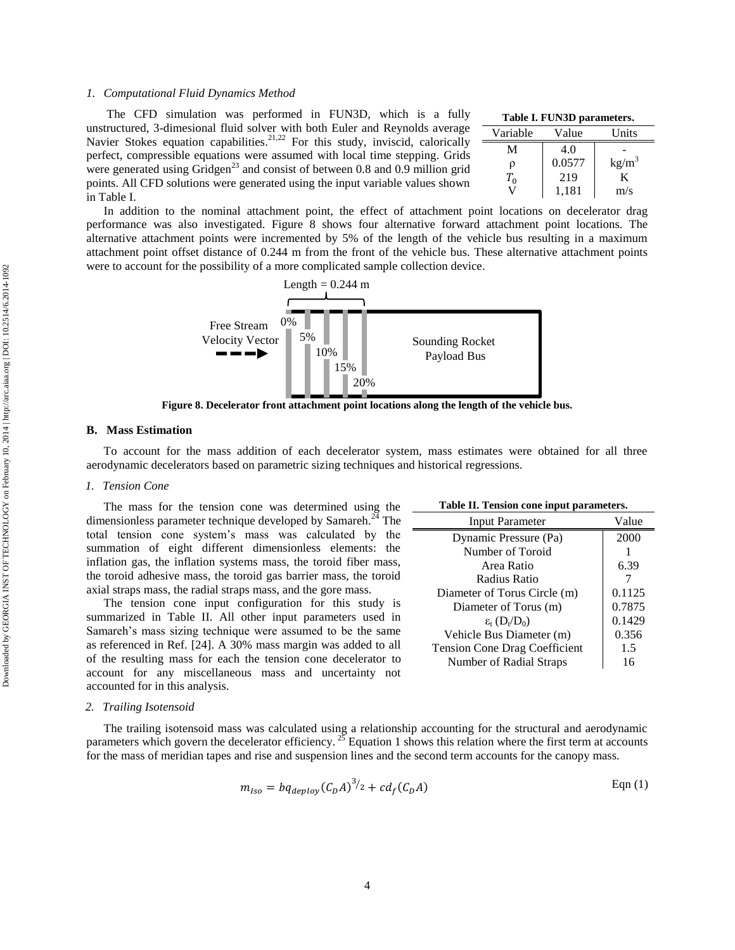#### *1. Computational Fluid Dynamics Method*

| The CFD simulation was performed in FUN3D, which is a fully                                 | Т   |
|---------------------------------------------------------------------------------------------|-----|
| unstructured, 3-dimesional fluid solver with both Euler and Reynolds average                | Var |
| Navier Stokes equation capabilities. <sup>21,22</sup> For this study, inviscid, calorically |     |
| perfect, compressible equations were assumed with local time stepping. Grids                |     |
| were generated using Gridgen <sup>23</sup> and consist of between 0.8 and 0.9 million grid  |     |
| points. All CFD solutions were generated using the input variable values shown              |     |
| in Table I.                                                                                 |     |

<span id="page-4-0"></span>

| Table I. FUN3D parameters. |        |                   |  |
|----------------------------|--------|-------------------|--|
| Variable                   | Value  | Units             |  |
| М                          | 4.0    |                   |  |
| ρ                          | 0.0577 | kg/m <sup>3</sup> |  |
| $T_{0}$                    | 219    | K                 |  |
|                            | 1,181  | m/s               |  |

<span id="page-4-2"></span>**Table II. Tension cone input parameters.**

Vehicle Bus Diameter (m)  $\qquad \qquad$  0.356 Tension Cone Drag Coefficient | 1.5 Number of Radial Straps 16

 $\varepsilon_t$  (D<sub>t</sub>/D<sub>0</sub>)

Input Parameter Value Dynamic Pressure (Pa) 2000 Number of Toroid 1 Area Ratio 1 6.39 Radius Ratio 7 Diameter of Torus Circle (m) | 0.1125 Diameter of Torus (m)  $\qquad$  0.7875

0.1429

In addition to the nominal attachment point, the effect of attachment point locations on decelerator drag performance was also investigated. [Figure 8](#page-4-1) shows four alternative forward attachment point locations. The alternative attachment points were incremented by 5% of the length of the vehicle bus resulting in a maximum attachment point offset distance of 0.244 m from the front of the vehicle bus. These alternative attachment points were to account for the possibility of a more complicated sample collection device.



**Figure 8. Decelerator front attachment point locations along the length of the vehicle bus.**

#### <span id="page-4-1"></span>**B. Mass Estimation**

To account for the mass addition of each decelerator system, mass estimates were obtained for all three aerodynamic decelerators based on parametric sizing techniques and historical regressions.

#### *1. Tension Cone*

The mass for the tension cone was determined using the dimensionless parameter technique developed by Samareh.<sup>24</sup> The total tension cone system's mass was calculated by the summation of eight different dimensionless elements: the inflation gas, the inflation systems mass, the toroid fiber mass, the toroid adhesive mass, the toroid gas barrier mass, the toroid axial straps mass, the radial straps mass, and the gore mass.

The tension cone input configuration for this study is summarized in [Table II.](#page-4-2) All other input parameters used in Samareh's mass sizing technique were assumed to be the same as referenced in Ref. [24]. A 30% mass margin was added to all of the resulting mass for each the tension cone decelerator to account for any miscellaneous mass and uncertainty not accounted for in this analysis.

#### *2. Trailing Isotensoid*

The trailing isotensoid mass was calculated using a relationship accounting for the structural and aerodynamic parameters which govern the decelerator efficiency.  $2^5$  Equation 1 shows this relation where the first term at accounts for the mass of meridian tapes and rise and suspension lines and the second term accounts for the canopy mass.

$$
m_{lso} = bq_{denlov} (C_D A)^{3/2} + cd_f (C_D A)
$$
 Eqn (1)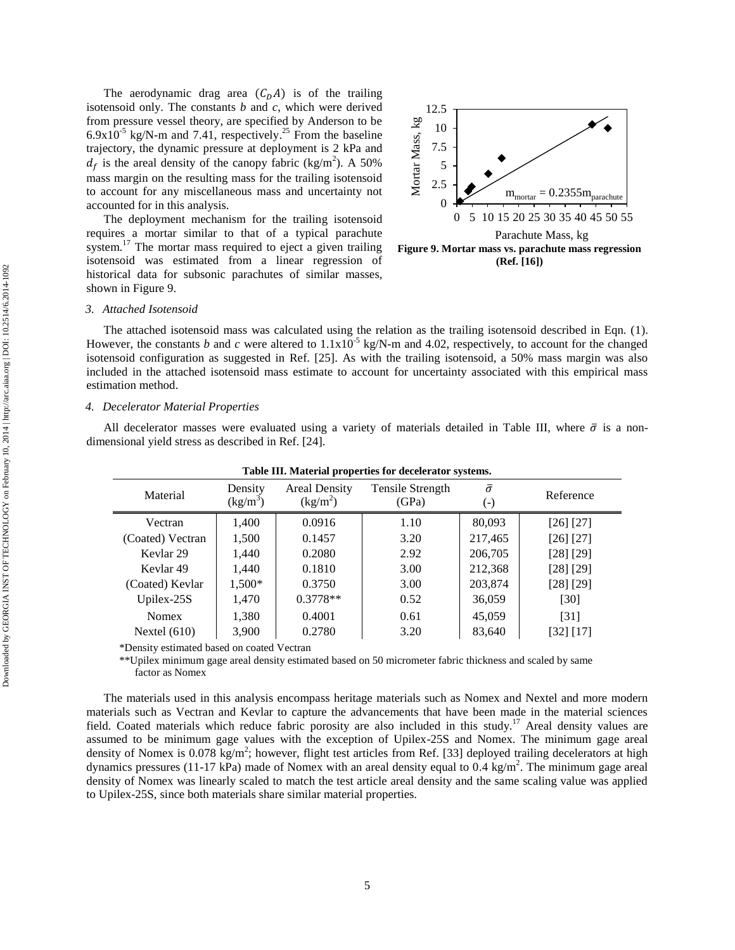The aerodynamic drag area  $(C<sub>D</sub>A)$  is of the trailing isotensoid only. The constants *b* and *c*, which were derived from pressure vessel theory, are specified by Anderson to be  $6.9x10^{-5}$  kg/N-m and 7.41, respectively.<sup>25</sup> From the baseline trajectory, the dynamic pressure at deployment is 2 kPa and  $d_f$  is the areal density of the canopy fabric (kg/m<sup>2</sup>). A 50% mass margin on the resulting mass for the trailing isotensoid to account for any miscellaneous mass and uncertainty not accounted for in this analysis.

The deployment mechanism for the trailing isotensoid requires a mortar similar to that of a typical parachute system.<sup>17</sup> The mortar mass required to eject a given trailing isotensoid was estimated from a linear regression of historical data for subsonic parachutes of similar masses, shown in [Figure 9.](#page-5-0)

<span id="page-5-0"></span>

## *3. Attached Isotensoid*

The attached isotensoid mass was calculated using the relation as the trailing isotensoid described in Eqn. (1). However, the constants *b* and *c* were altered to  $1.1x10^{-5}$  kg/N-m and 4.02, respectively, to account for the changed isotensoid configuration as suggested in Ref. [25]. As with the trailing isotensoid, a 50% mass margin was also included in the attached isotensoid mass estimate to account for uncertainty associated with this empirical mass estimation method.

#### *4. Decelerator Material Properties*

All decelerator masses were evaluated using a variety of materials detailed in [Table III,](#page-5-1) where  $\bar{\sigma}$  is a nondimensional yield stress as described in Ref. [24].

<span id="page-5-1"></span>

| Material             | Density<br>(kg/m <sup>3</sup> ) | <b>Areal Density</b><br>(kg/m <sup>2</sup> ) | Tensile Strength<br>(GPa) | $\bar{\sigma}$<br>(-) | Reference     |
|----------------------|---------------------------------|----------------------------------------------|---------------------------|-----------------------|---------------|
| Vectran              | 1,400                           | 0.0916                                       | 1.10                      | 80,093                | $[26]$ $[27]$ |
| (Coated) Vectran     | 1,500                           | 0.1457                                       | 3.20                      | 217,465               | [26] [27]     |
| Kevlar <sub>29</sub> | 1,440                           | 0.2080                                       | 2.92                      | 206,705               | [28] [29]     |
| Kevlar 49            | 1,440                           | 0.1810                                       | 3.00                      | 212,368               | [28] [29]     |
| (Coated) Kevlar      | 1,500*                          | 0.3750                                       | 3.00                      | 203,874               | [28] [29]     |
| Upilex- $25S$        | 1,470                           | $0.3778**$                                   | 0.52                      | 36,059                | [30]          |
| <b>Nomex</b>         | 1,380                           | 0.4001                                       | 0.61                      | 45,059                | [31]          |
| Nextel $(610)$       | 3,900                           | 0.2780                                       | 3.20                      | 83,640                | [32] [17]     |

**Table III. Material properties for decelerator systems.**

\*Density estimated based on coated Vectran

\*\*Upilex minimum gage areal density estimated based on 50 micrometer fabric thickness and scaled by same factor as Nomex

The materials used in this analysis encompass heritage materials such as Nomex and Nextel and more modern materials such as Vectran and Kevlar to capture the advancements that have been made in the material sciences field. Coated materials which reduce fabric porosity are also included in this study.<sup>17</sup> Areal density values are assumed to be minimum gage values with the exception of Upilex-25S and Nomex. The minimum gage areal density of Nomex is  $0.078 \text{ kg/m}^2$ ; however, flight test articles from Ref. [33] deployed trailing decelerators at high dynamics pressures (11-17 kPa) made of Nomex with an areal density equal to  $0.4 \text{ kg/m}^2$ . The minimum gage areal density of Nomex was linearly scaled to match the test article areal density and the same scaling value was applied to Upilex-25S, since both materials share similar material properties.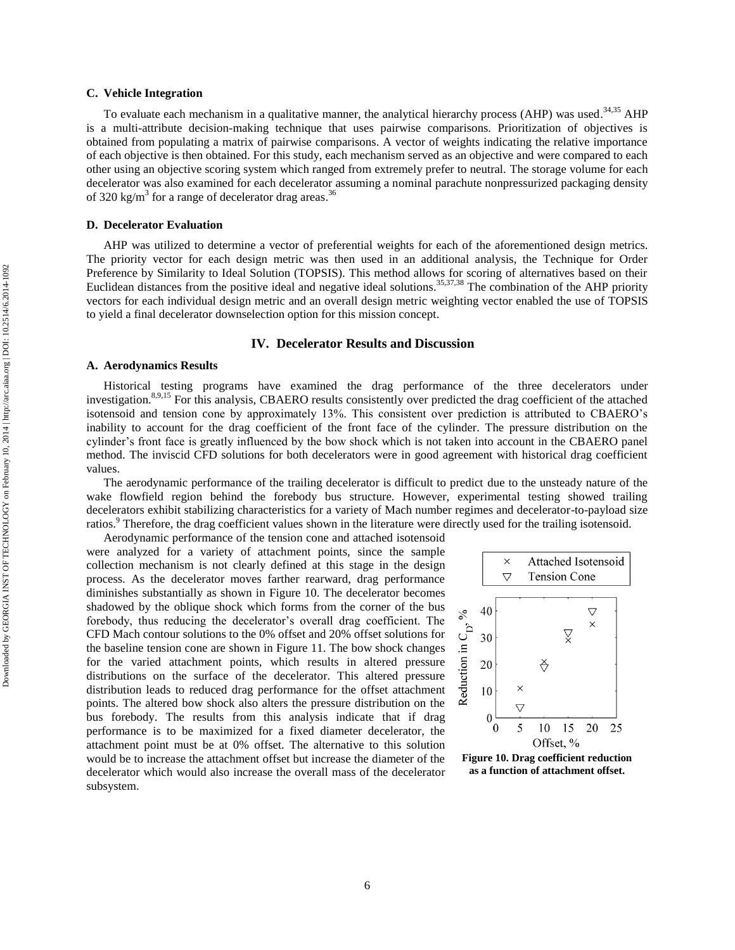## **C. Vehicle Integration**

To evaluate each mechanism in a qualitative manner, the analytical hierarchy process (AHP) was used.<sup>34,35</sup> AHP is a multi-attribute decision-making technique that uses pairwise comparisons. Prioritization of objectives is obtained from populating a matrix of pairwise comparisons. A vector of weights indicating the relative importance of each objective is then obtained. For this study, each mechanism served as an objective and were compared to each other using an objective scoring system which ranged from extremely prefer to neutral. The storage volume for each decelerator was also examined for each decelerator assuming a nominal parachute nonpressurized packaging density of 320 kg/m<sup>3</sup> for a range of decelerator drag areas.<sup>36</sup>

# **D. Decelerator Evaluation**

AHP was utilized to determine a vector of preferential weights for each of the aforementioned design metrics. The priority vector for each design metric was then used in an additional analysis, the Technique for Order Preference by Similarity to Ideal Solution (TOPSIS). This method allows for scoring of alternatives based on their Euclidean distances from the positive ideal and negative ideal solutions.<sup>35,37,38</sup> The combination of the AHP priority vectors for each individual design metric and an overall design metric weighting vector enabled the use of TOPSIS to yield a final decelerator downselection option for this mission concept.

## **IV. Decelerator Results and Discussion**

#### **A. Aerodynamics Results**

Historical testing programs have examined the drag performance of the three decelerators under investigation.<sup>8,9,15</sup> For this analysis, CBAERO results consistently over predicted the drag coefficient of the attached isotensoid and tension cone by approximately 13%. This consistent over prediction is attributed to CBAERO's inability to account for the drag coefficient of the front face of the cylinder. The pressure distribution on the cylinder's front face is greatly influenced by the bow shock which is not taken into account in the CBAERO panel method. The inviscid CFD solutions for both decelerators were in good agreement with historical drag coefficient values.

The aerodynamic performance of the trailing decelerator is difficult to predict due to the unsteady nature of the wake flowfield region behind the forebody bus structure. However, experimental testing showed trailing decelerators exhibit stabilizing characteristics for a variety of Mach number regimes and decelerator-to-payload size ratios.<sup>9</sup> Therefore, the drag coefficient values shown in the literature were directly used for the trailing isotensoid.

Aerodynamic performance of the tension cone and attached isotensoid were analyzed for a variety of attachment points, since the sample collection mechanism is not clearly defined at this stage in the design process. As the decelerator moves farther rearward, drag performance diminishes substantially as shown in [Figure 10.](#page-6-0) The decelerator becomes shadowed by the oblique shock which forms from the corner of the bus forebody, thus reducing the decelerator's overall drag coefficient. The CFD Mach contour solutions to the 0% offset and 20% offset solutions for the baseline tension cone are shown in [Figure 11.](#page-7-0) The bow shock changes for the varied attachment points, which results in altered pressure distributions on the surface of the decelerator. This altered pressure distribution leads to reduced drag performance for the offset attachment points. The altered bow shock also alters the pressure distribution on the bus forebody. The results from this analysis indicate that if drag performance is to be maximized for a fixed diameter decelerator, the attachment point must be at 0% offset. The alternative to this solution would be to increase the attachment offset but increase the diameter of the decelerator which would also increase the overall mass of the decelerator subsystem.



<span id="page-6-0"></span>**Figure 10. Drag coefficient reduction as a function of attachment offset.**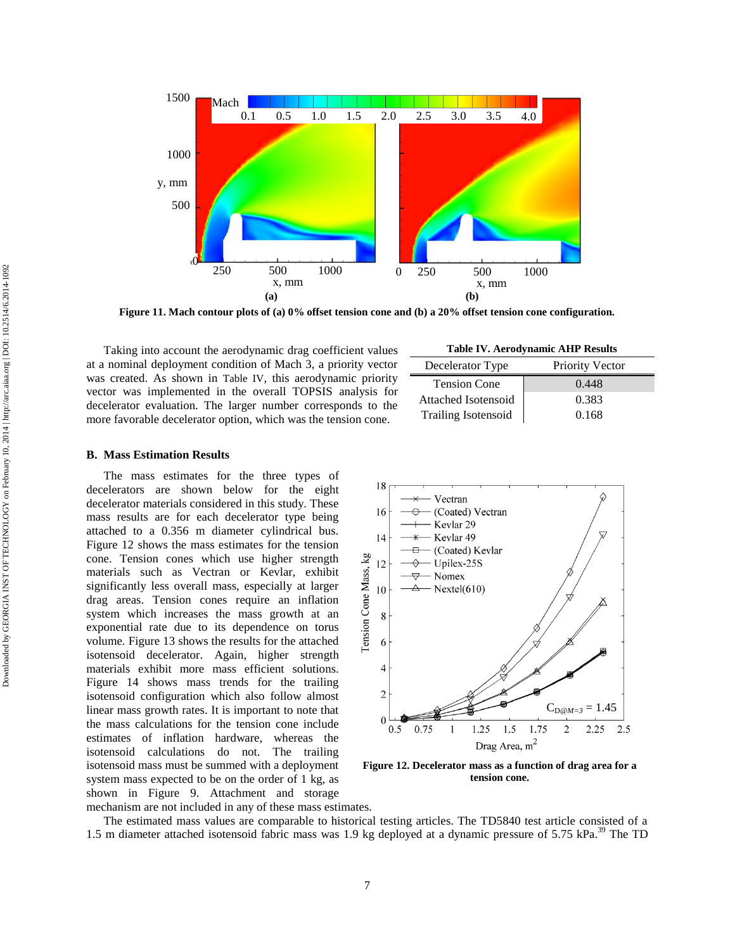

<span id="page-7-0"></span>**Figure 11. Mach contour plots of (a) 0% offset tension cone and (b) a 20% offset tension cone configuration.**

Taking into account the aerodynamic drag coefficient values at a nominal deployment condition of Mach 3, a priority vector was created. As shown in [Table IV](#page-7-1), this aerodynamic priority vector was implemented in the overall TOPSIS analysis for decelerator evaluation. The larger number corresponds to the more favorable decelerator option, which was the tension cone.

<span id="page-7-1"></span>

| Decelerator Type           | <b>Priority Vector</b> |
|----------------------------|------------------------|
| <b>Tension Cone</b>        | 0.448                  |
| Attached Isotensoid        | 0.383                  |
| <b>Trailing Isotensoid</b> | 0.168                  |

# **B. Mass Estimation Results**

The mass estimates for the three types of decelerators are shown below for the eight decelerator materials considered in this study. These mass results are for each decelerator type being attached to a 0.356 m diameter cylindrical bus. [Figure 12](#page-7-2) shows the mass estimates for the tension cone. Tension cones which use higher strength materials such as Vectran or Kevlar, exhibit significantly less overall mass, especially at larger drag areas. Tension cones require an inflation system which increases the mass growth at an exponential rate due to its dependence on torus volume. [Figure 13](#page-8-0) shows the results for the attached isotensoid decelerator. Again, higher strength materials exhibit more mass efficient solutions. [Figure 14](#page-8-1) shows mass trends for the trailing isotensoid configuration which also follow almost linear mass growth rates. It is important to note that the mass calculations for the tension cone include estimates of inflation hardware, whereas the isotensoid calculations do not. The trailing isotensoid mass must be summed with a deployment system mass expected to be on the order of 1 kg, as shown in [Figure 9.](#page-5-0) Attachment and storage



<span id="page-7-2"></span>**Figure 12. Decelerator mass as a function of drag area for a tension cone.**

mechanism are not included in any of these mass estimates.

The estimated mass values are comparable to historical testing articles. The TD5840 test article consisted of a 1.5 m diameter attached isotensoid fabric mass was 1.9 kg deployed at a dynamic pressure of 5.75 kPa.<sup>39</sup> The TD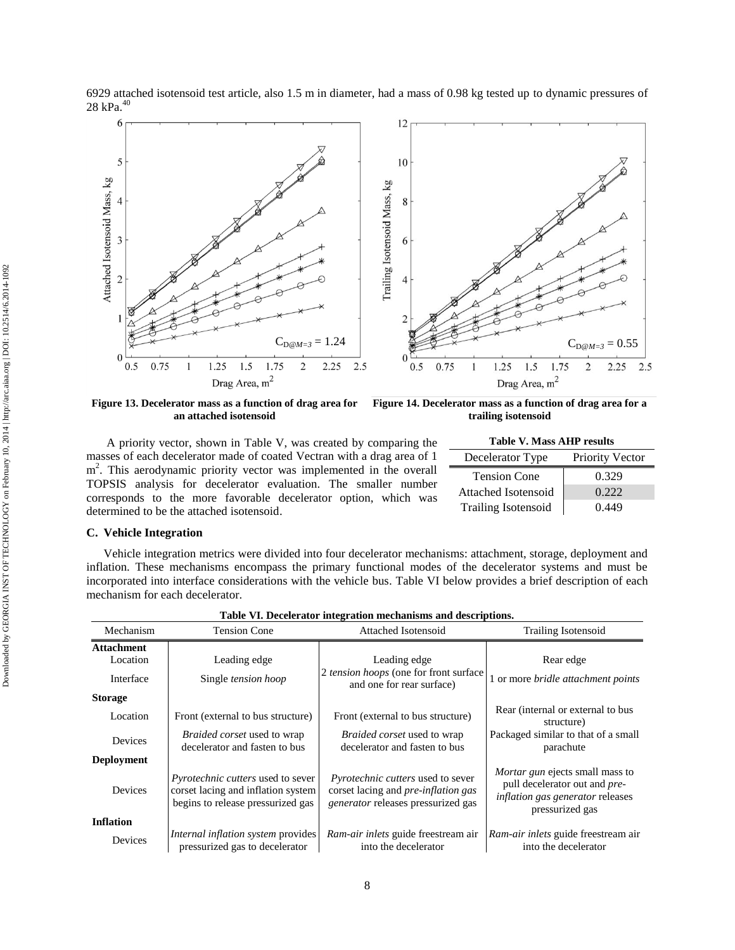6929 attached isotensoid test article, also 1.5 m in diameter, had a mass of 0.98 kg tested up to dynamic pressures of 28 kPa. 40



<span id="page-8-0"></span>**Figure 13. Decelerator mass as a function of drag area for an attached isotensoid**

<span id="page-8-1"></span>**Figure 14. Decelerator mass as a function of drag area for a trailing isotensoid**

A priority vector, shown in [Table V,](#page-8-2) was created by comparing the masses of each decelerator made of coated Vectran with a drag area of 1 m<sup>2</sup>. This aerodynamic priority vector was implemented in the overall TOPSIS analysis for decelerator evaluation. The smaller number corresponds to the more favorable decelerator option, which was determined to be the attached isotensoid.

<span id="page-8-2"></span>

| <b>Table V. Mass AHP results</b>           |       |  |  |
|--------------------------------------------|-------|--|--|
| <b>Priority Vector</b><br>Decelerator Type |       |  |  |
| <b>Tension Cone</b>                        | 0.329 |  |  |
| Attached Isotensoid                        | 0.222 |  |  |
| <b>Trailing Isotensoid</b>                 | 0.449 |  |  |

# **C. Vehicle Integration**

Vehicle integration metrics were divided into four decelerator mechanisms: attachment, storage, deployment and inflation. These mechanisms encompass the primary functional modes of the decelerator systems and must be incorporated into interface considerations with the vehicle bus. [Table VI](#page-8-3) below provides a brief description of each mechanism for each decelerator.

<span id="page-8-3"></span>

| Mechanism                     | <b>Tension Cone</b>                                                                                                 | <b>Attached Isotensoid</b>                                                                                                   | <b>Trailing Isotensoid</b>                                                                                                            |
|-------------------------------|---------------------------------------------------------------------------------------------------------------------|------------------------------------------------------------------------------------------------------------------------------|---------------------------------------------------------------------------------------------------------------------------------------|
| <b>Attachment</b><br>Location | Leading edge                                                                                                        | Leading edge                                                                                                                 | Rear edge                                                                                                                             |
| Interface                     | Single tension hoop                                                                                                 | 2 tension hoops (one for front surface)<br>and one for rear surface)                                                         | 1 or more bridle attachment points                                                                                                    |
| <b>Storage</b>                |                                                                                                                     |                                                                                                                              |                                                                                                                                       |
| Location                      | Front (external to bus structure)                                                                                   | Front (external to bus structure)                                                                                            | Rear (internal or external to bus<br>structure)                                                                                       |
| <b>Devices</b>                | <i>Braided corset</i> used to wrap<br>decelerator and fasten to bus                                                 | <i>Braided corset</i> used to wrap<br>decelerator and fasten to bus                                                          | Packaged similar to that of a small<br>parachute                                                                                      |
| <b>Deployment</b>             |                                                                                                                     |                                                                                                                              |                                                                                                                                       |
| <b>Devices</b>                | <i>Pyrotechnic cutters</i> used to sever<br>corset lacing and inflation system<br>begins to release pressurized gas | <i>Pyrotechnic cutters</i> used to sever<br>corset lacing and <i>pre-inflation gas</i><br>generator releases pressurized gas | <i>Mortar gun</i> ejects small mass to<br>pull decelerator out and pre-<br><i>inflation gas generator releases</i><br>pressurized gas |
| <b>Inflation</b>              |                                                                                                                     |                                                                                                                              |                                                                                                                                       |
| Devices                       | Internal inflation system provides<br>pressurized gas to decelerator                                                | Ram-air inlets guide freestream air<br>into the decelerator                                                                  | Ram-air inlets guide freestream air<br>into the decelerator                                                                           |

**Table VI. Decelerator integration mechanisms and descriptions.**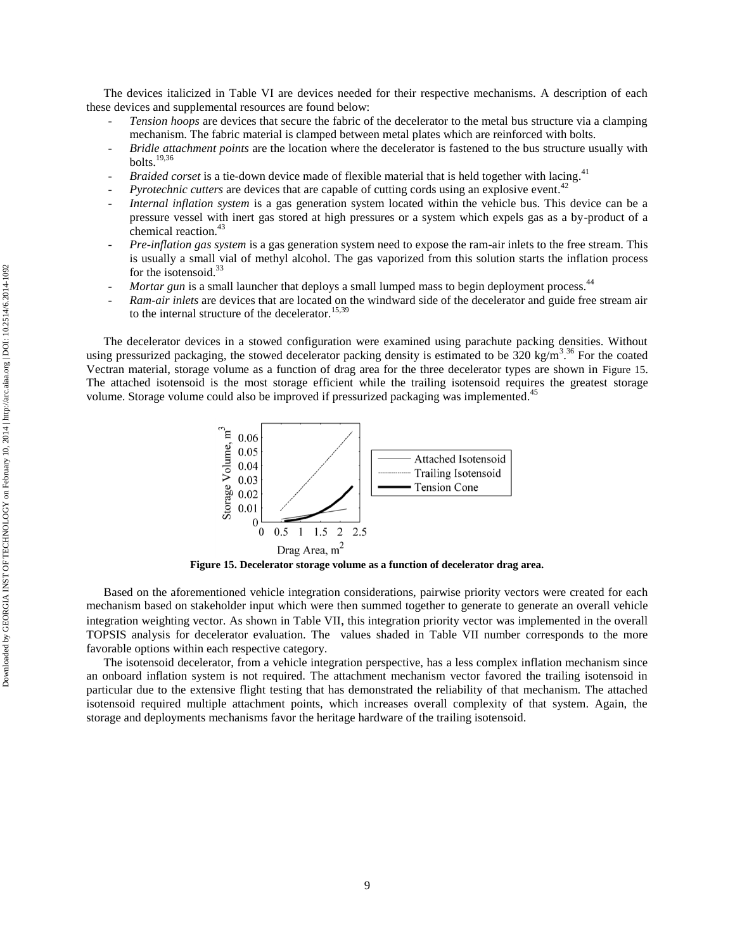The devices italicized in [Table VI](#page-8-3) are devices needed for their respective mechanisms. A description of each these devices and supplemental resources are found below:

- *Tension hoops* are devices that secure the fabric of the decelerator to the metal bus structure via a clamping mechanism. The fabric material is clamped between metal plates which are reinforced with bolts.
- *Bridle attachment points* are the location where the decelerator is fastened to the bus structure usually with bolts. 19,36
- *Braided corset* is a tie-down device made of flexible material that is held together with lacing.<sup>41</sup>
- *Pyrotechnic cutters* are devices that are capable of cutting cords using an explosive event. 42
- *Internal inflation system* is a gas generation system located within the vehicle bus. This device can be a pressure vessel with inert gas stored at high pressures or a system which expels gas as a by-product of a chemical reaction.<sup>43</sup>
- *Pre-inflation gas system* is a gas generation system need to expose the ram-air inlets to the free stream. This is usually a small vial of methyl alcohol. The gas vaporized from this solution starts the inflation process for the isotensoid.<sup>33</sup>
- *Mortar gun* is a small launcher that deploys a small lumped mass to begin deployment process.<sup>44</sup>
- *Ram-air inlets* are devices that are located on the windward side of the decelerator and guide free stream air to the internal structure of the decelerator.<sup>15,39</sup>

The decelerator devices in a stowed configuration were examined using parachute packing densities. Without using pressurized packaging, the stowed decelerator packing density is estimated to be  $320 \text{ kg/m}^3$ .<sup>36</sup> For the coated Vectran material, storage volume as a function of drag area for the three decelerator types are shown in [Figure 15](#page-9-0). The attached isotensoid is the most storage efficient while the trailing isotensoid requires the greatest storage volume. Storage volume could also be improved if pressurized packaging was implemented.<sup>45</sup>



**Figure 15. Decelerator storage volume as a function of decelerator drag area.**

<span id="page-9-0"></span>Based on the aforementioned vehicle integration considerations, pairwise priority vectors were created for each mechanism based on stakeholder input which were then summed together to generate to generate an overall vehicle integration weighting vector. As shown in [Table VII](#page-10-0), this integration priority vector was implemented in the overall TOPSIS analysis for decelerator evaluation. The values shaded in [Table VII](#page-10-0) number corresponds to the more favorable options within each respective category.

The isotensoid decelerator, from a vehicle integration perspective, has a less complex inflation mechanism since an onboard inflation system is not required. The attachment mechanism vector favored the trailing isotensoid in particular due to the extensive flight testing that has demonstrated the reliability of that mechanism. The attached isotensoid required multiple attachment points, which increases overall complexity of that system. Again, the storage and deployments mechanisms favor the heritage hardware of the trailing isotensoid.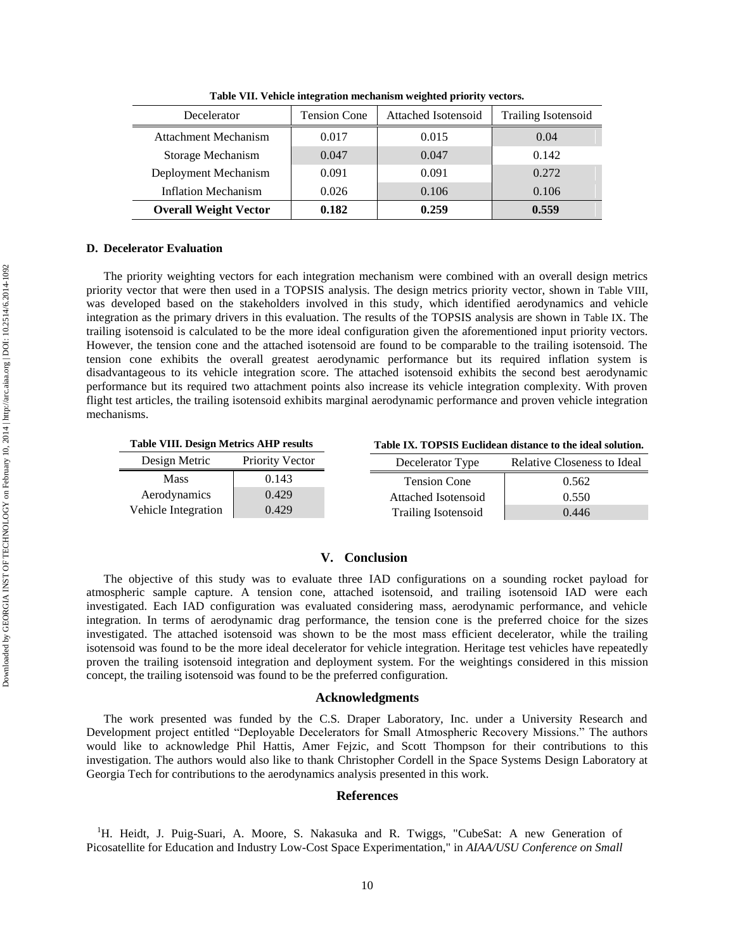<span id="page-10-0"></span>

| Decelerator                  | <b>Tension Cone</b> | Attached Isotensoid | <b>Trailing Isotensoid</b> |
|------------------------------|---------------------|---------------------|----------------------------|
| <b>Attachment Mechanism</b>  | 0.017               | 0.015               | 0.04                       |
| Storage Mechanism            | 0.047               | 0.047               | 0.142                      |
| Deployment Mechanism         | 0.091               | 0.091               | 0.272                      |
| <b>Inflation Mechanism</b>   | 0.026               | 0.106               | 0.106                      |
| <b>Overall Weight Vector</b> | 0.182               | 0.259               | 0.559                      |

**Table VII. Vehicle integration mechanism weighted priority vectors.**

## **D. Decelerator Evaluation**

The priority weighting vectors for each integration mechanism were combined with an overall design metrics priority vector that were then used in a TOPSIS analysis. The design metrics priority vector, shown in [Table VIII](#page-10-1), was developed based on the stakeholders involved in this study, which identified aerodynamics and vehicle integration as the primary drivers in this evaluation. The results of the TOPSIS analysis are shown in [Table IX](#page-10-2). The trailing isotensoid is calculated to be the more ideal configuration given the aforementioned input priority vectors. However, the tension cone and the attached isotensoid are found to be comparable to the trailing isotensoid. The tension cone exhibits the overall greatest aerodynamic performance but its required inflation system is disadvantageous to its vehicle integration score. The attached isotensoid exhibits the second best aerodynamic performance but its required two attachment points also increase its vehicle integration complexity. With proven flight test articles, the trailing isotensoid exhibits marginal aerodynamic performance and proven vehicle integration mechanisms.

<span id="page-10-1"></span>

| <b>Table VIII. Design Metrics AHP results</b> |                        |  | Table IX. TOPSIS Euclidean distance to the ideal solution. |                             |
|-----------------------------------------------|------------------------|--|------------------------------------------------------------|-----------------------------|
| Design Metric                                 | <b>Priority Vector</b> |  | Decelerator Type                                           | Relative Closeness to Ideal |
| <b>Mass</b>                                   | 0.143                  |  | <b>Tension Cone</b>                                        | 0.562                       |
| Aerodynamics                                  | 0.429                  |  | Attached Isotensoid                                        | 0.550                       |
| Vehicle Integration                           | 0.429                  |  | <b>Trailing Isotensoid</b>                                 | 0.446                       |

## <span id="page-10-2"></span>**V. Conclusion**

The objective of this study was to evaluate three IAD configurations on a sounding rocket payload for atmospheric sample capture. A tension cone, attached isotensoid, and trailing isotensoid IAD were each investigated. Each IAD configuration was evaluated considering mass, aerodynamic performance, and vehicle integration. In terms of aerodynamic drag performance, the tension cone is the preferred choice for the sizes investigated. The attached isotensoid was shown to be the most mass efficient decelerator, while the trailing isotensoid was found to be the more ideal decelerator for vehicle integration. Heritage test vehicles have repeatedly proven the trailing isotensoid integration and deployment system. For the weightings considered in this mission concept, the trailing isotensoid was found to be the preferred configuration.

## **Acknowledgments**

The work presented was funded by the C.S. Draper Laboratory, Inc. under a University Research and Development project entitled "Deployable Decelerators for Small Atmospheric Recovery Missions." The authors would like to acknowledge Phil Hattis, Amer Fejzic, and Scott Thompson for their contributions to this investigation. The authors would also like to thank Christopher Cordell in the Space Systems Design Laboratory at Georgia Tech for contributions to the aerodynamics analysis presented in this work.

# **References**

<sup>&</sup>lt;sup>1</sup>H. Heidt, J. Puig-Suari, A. Moore, S. Nakasuka and R. Twiggs, "CubeSat: A new Generation of Picosatellite for Education and Industry Low-Cost Space Experimentation," in *AIAA/USU Conference on Small*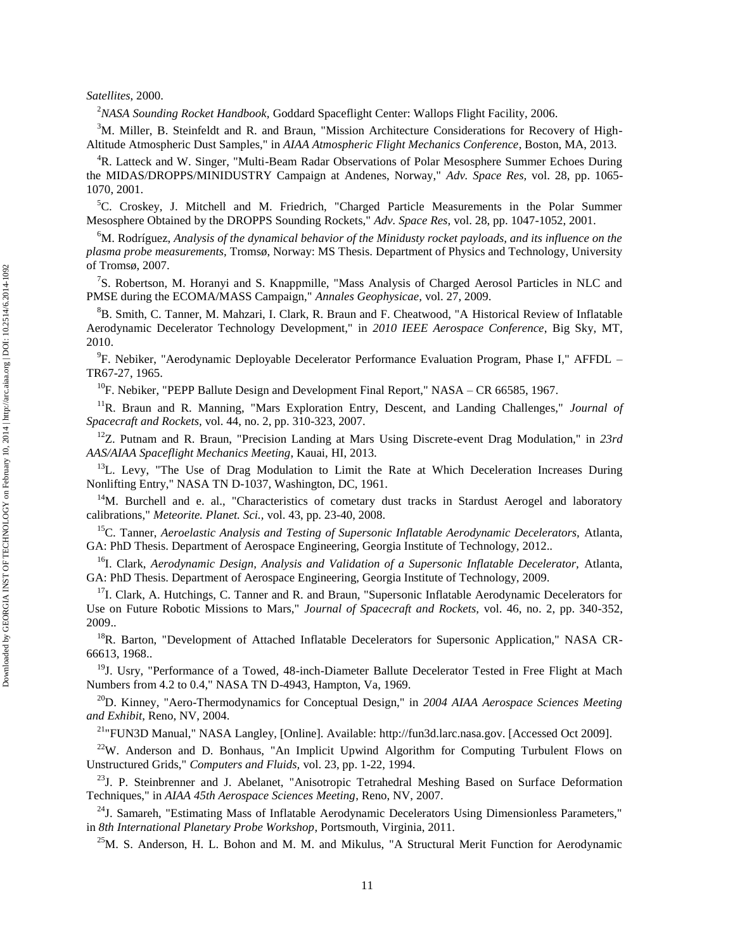# *Satellites*, 2000.

<sup>2</sup>*NASA Sounding Rocket Handbook,* Goddard Spaceflight Center: Wallops Flight Facility, 2006.

<sup>3</sup>M. Miller, B. Steinfeldt and R. and Braun, "Mission Architecture Considerations for Recovery of High-Altitude Atmospheric Dust Samples," in *AIAA Atmospheric Flight Mechanics Conference*, Boston, MA, 2013.

<sup>4</sup>R. Latteck and W. Singer, "Multi-Beam Radar Observations of Polar Mesosphere Summer Echoes During the MIDAS/DROPPS/MINIDUSTRY Campaign at Andenes, Norway," *Adv. Space Res,* vol. 28, pp. 1065- 1070, 2001.

 ${}^5C$ . Croskey, J. Mitchell and M. Friedrich, "Charged Particle Measurements in the Polar Summer Mesosphere Obtained by the DROPPS Sounding Rockets," *Adv. Space Res,* vol. 28, pp. 1047-1052, 2001.

<sup>6</sup>M. Rodríguez, *Analysis of the dynamical behavior of the Minidusty rocket payloads, and its influence on the plasma probe measurements,* Tromsø, Norway: MS Thesis. Department of Physics and Technology, University of Tromsø, 2007.

<sup>7</sup>S. Robertson, M. Horanyi and S. Knappmille, "Mass Analysis of Charged Aerosol Particles in NLC and PMSE during the ECOMA/MASS Campaign," *Annales Geophysicae,* vol. 27, 2009.

<sup>8</sup>B. Smith, C. Tanner, M. Mahzari, I. Clark, R. Braun and F. Cheatwood, "A Historical Review of Inflatable Aerodynamic Decelerator Technology Development," in *2010 IEEE Aerospace Conference*, Big Sky, MT, 2010.

<sup>9</sup>F. Nebiker, "Aerodynamic Deployable Decelerator Performance Evaluation Program, Phase I," AFFDL -TR67-27, 1965.

 $^{10}$ F. Nebiker, "PEPP Ballute Design and Development Final Report," NASA – CR 66585, 1967.

<sup>11</sup>R. Braun and R. Manning, "Mars Exploration Entry, Descent, and Landing Challenges," *Journal of Spacecraft and Rockets,* vol. 44, no. 2, pp. 310-323, 2007.

<sup>12</sup>Z. Putnam and R. Braun, "Precision Landing at Mars Using Discrete-event Drag Modulation," in *23rd AAS/AIAA Spaceflight Mechanics Meeting*, Kauai, HI, 2013.

 $13L$ . Levy, "The Use of Drag Modulation to Limit the Rate at Which Deceleration Increases During Nonlifting Entry," NASA TN D-1037, Washington, DC, 1961.

<sup>14</sup>M. Burchell and e. al., "Characteristics of cometary dust tracks in Stardust Aerogel and laboratory calibrations," *Meteorite. Planet. Sci.,* vol. 43, pp. 23-40, 2008.

<sup>15</sup>C. Tanner, *Aeroelastic Analysis and Testing of Supersonic Inflatable Aerodynamic Decelerators,* Atlanta, GA: PhD Thesis. Department of Aerospace Engineering, Georgia Institute of Technology, 2012..

<sup>16</sup>I. Clark, *Aerodynamic Design, Analysis and Validation of a Supersonic Inflatable Decelerator, Atlanta,* GA: PhD Thesis. Department of Aerospace Engineering, Georgia Institute of Technology, 2009.

<sup>17</sup>I. Clark, A. Hutchings, C. Tanner and R. and Braun, "Supersonic Inflatable Aerodynamic Decelerators for Use on Future Robotic Missions to Mars," *Journal of Spacecraft and Rockets,* vol. 46, no. 2, pp. 340-352, 2009..

<sup>18</sup>R. Barton, "Development of Attached Inflatable Decelerators for Supersonic Application," NASA CR-66613, 1968..

 $19J$ . Usry, "Performance of a Towed, 48-inch-Diameter Ballute Decelerator Tested in Free Flight at Mach Numbers from 4.2 to 0.4," NASA TN D-4943, Hampton, Va, 1969.

<sup>20</sup>D. Kinney, "Aero-Thermodynamics for Conceptual Design," in *2004 AIAA Aerospace Sciences Meeting and Exhibit*, Reno, NV, 2004.

<sup>21</sup>"FUN3D Manual," NASA Langley, [Online]. Available: http://fun3d.larc.nasa.gov. [Accessed Oct 2009].

 $22$ W. Anderson and D. Bonhaus, "An Implicit Upwind Algorithm for Computing Turbulent Flows on Unstructured Grids," *Computers and Fluids,* vol. 23, pp. 1-22, 1994.

<sup>23</sup>J. P. Steinbrenner and J. Abelanet, "Anisotropic Tetrahedral Meshing Based on Surface Deformation Techniques," in *AIAA 45th Aerospace Sciences Meeting*, Reno, NV, 2007.

 $^{24}$ J. Samareh, "Estimating Mass of Inflatable Aerodynamic Decelerators Using Dimensionless Parameters," in *8th International Planetary Probe Workshop*, Portsmouth, Virginia, 2011.

 $25$ M. S. Anderson, H. L. Bohon and M. M. and Mikulus, "A Structural Merit Function for Aerodynamic